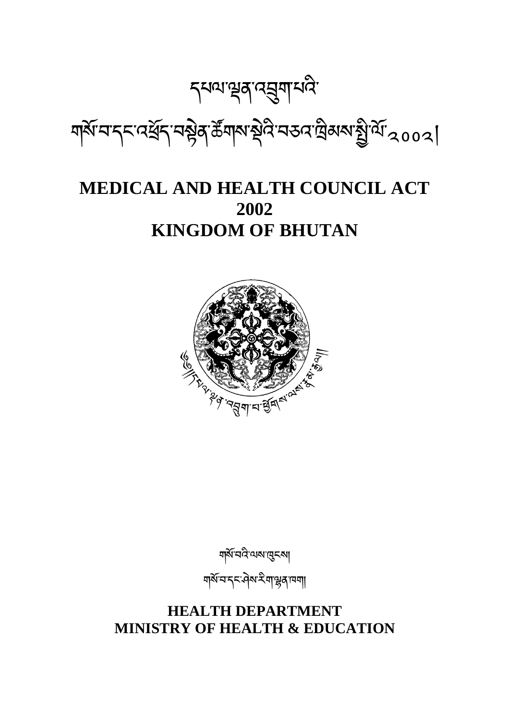# **HEALTH DEPARTMENT MINISTRY OF HEALTH & EDUCATION**

গ্ৰাম্বন্দ্ৰন্দ্ৰীৰ কা

གསོ་བའི་ལས་ངས།



# **MEDICAL AND HEALTH COUNCIL ACT 2002 KINGDOM OF BHUTAN**

*ॸॺॴऄ* ३ अप्रै अप्रै । ঘার্মা নাব্দা বর্ষ্ট বার্মার্ট বিশেষ বিষ্ণা বিশিষ্ট বিশিত্ত ।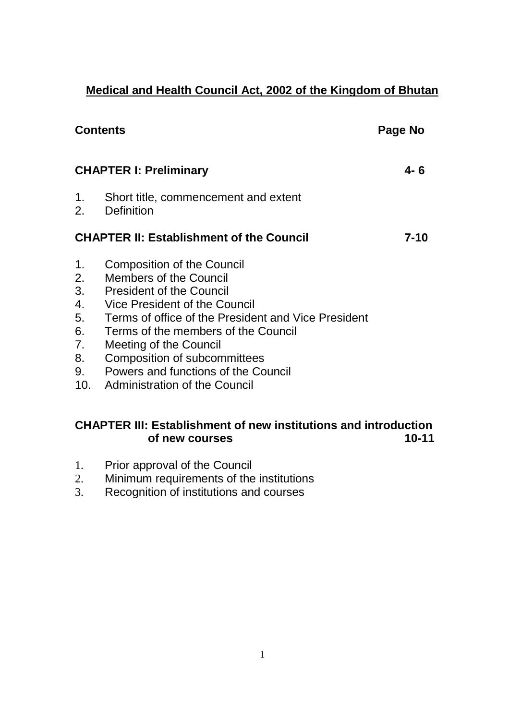# **Medical and Health Council Act, 2002 of the Kingdom of Bhutan**

| <b>Contents</b>                                    |                                                                                                                                                                                                                                                                                                                                                                                          | Page No |
|----------------------------------------------------|------------------------------------------------------------------------------------------------------------------------------------------------------------------------------------------------------------------------------------------------------------------------------------------------------------------------------------------------------------------------------------------|---------|
| <b>CHAPTER I: Preliminary</b>                      |                                                                                                                                                                                                                                                                                                                                                                                          | 4- 6    |
| 1.                                                 | Short title, commencement and extent<br>2. Definition                                                                                                                                                                                                                                                                                                                                    |         |
|                                                    | <b>CHAPTER II: Establishment of the Council</b>                                                                                                                                                                                                                                                                                                                                          | 7-10    |
| 1.<br>2.<br>3.<br>4.<br>5.<br>6.<br>7.<br>8.<br>9. | <b>Composition of the Council</b><br><b>Members of the Council</b><br><b>President of the Council</b><br>Vice President of the Council<br>Terms of office of the President and Vice President<br>Terms of the members of the Council<br>Meeting of the Council<br><b>Composition of subcommittees</b><br><b>Powers and functions of the Council</b><br>10. Administration of the Council |         |

# **CHAPTER III: Establishment of new institutions and introduction of new courses 10-11**

- 1. Prior approval of the Council
- 2. Minimum requirements of the institutions
- 3. Recognition of institutions and courses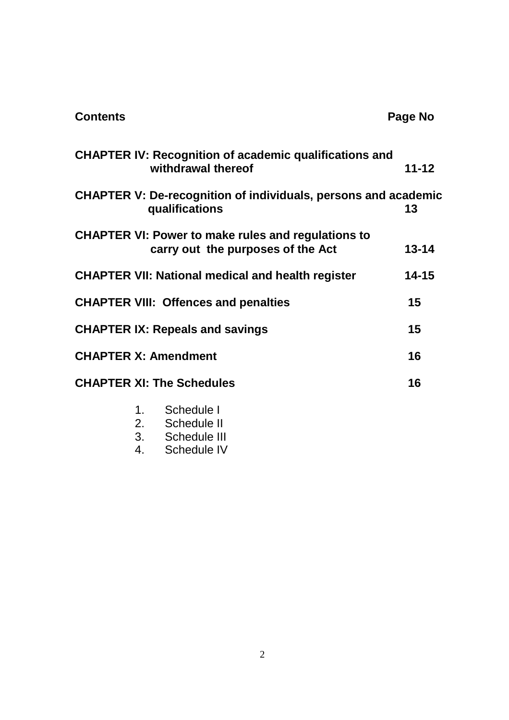| <b>Contents</b> |                                                                                                | Page No   |
|-----------------|------------------------------------------------------------------------------------------------|-----------|
|                 | <b>CHAPTER IV: Recognition of academic qualifications and</b><br>withdrawal thereof            | $11 - 12$ |
|                 | <b>CHAPTER V: De-recognition of individuals, persons and academic</b><br>qualifications        | 13        |
|                 | <b>CHAPTER VI: Power to make rules and regulations to</b><br>carry out the purposes of the Act | $13 - 14$ |
|                 | <b>CHAPTER VII: National medical and health register</b>                                       | $14 - 15$ |
|                 | <b>CHAPTER VIII: Offences and penalties</b>                                                    | 15        |
|                 | <b>CHAPTER IX: Repeals and savings</b>                                                         | 15        |
|                 | <b>CHAPTER X: Amendment</b>                                                                    | 16        |
|                 | <b>CHAPTER XI: The Schedules</b>                                                               | 16        |
|                 | 1. Schedule I<br>2.<br>Schedule II                                                             |           |

- 3. Schedule III<br>4. Schedule IV
- Schedule IV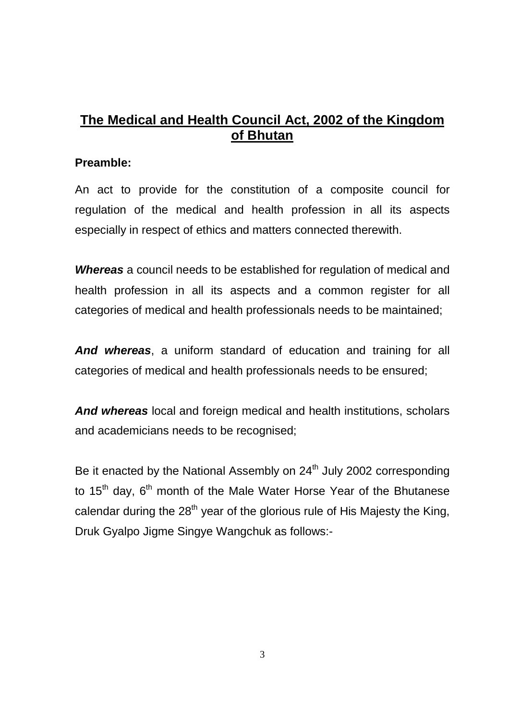# **The Medical and Health Council Act, 2002 of the Kingdom of Bhutan**

#### **Preamble:**

An act to provide for the constitution of a composite council for regulation of the medical and health profession in all its aspects especially in respect of ethics and matters connected therewith.

**Whereas** a council needs to be established for regulation of medical and health profession in all its aspects and a common register for all categories of medical and health professionals needs to be maintained;

**And whereas**, a uniform standard of education and training for all categories of medical and health professionals needs to be ensured;

**And whereas** local and foreign medical and health institutions, scholars and academicians needs to be recognised;

Be it enacted by the National Assembly on  $24<sup>th</sup>$  July 2002 corresponding to 15<sup>th</sup> day, 6<sup>th</sup> month of the Male Water Horse Year of the Bhutanese calendar during the  $28<sup>th</sup>$  year of the glorious rule of His Majesty the King, Druk Gyalpo Jigme Singye Wangchuk as follows:-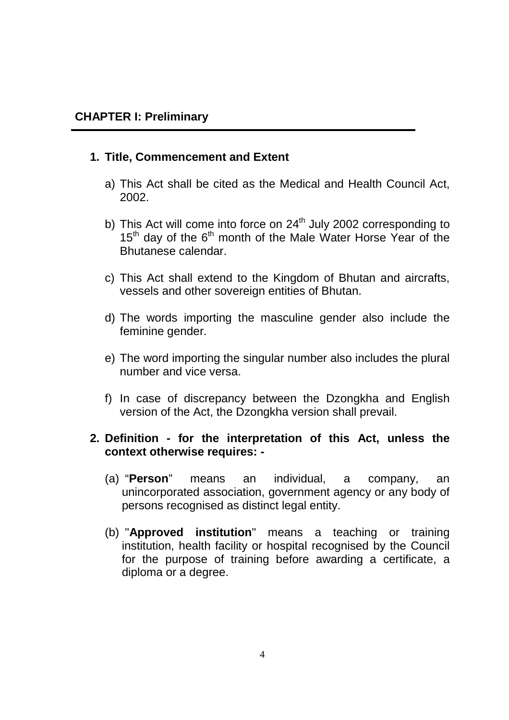#### **1. Title, Commencement and Extent**

- a) This Act shall be cited as the Medical and Health Council Act, 2002.
- b) This Act will come into force on 24<sup>th</sup> July 2002 corresponding to  $15<sup>th</sup>$  day of the  $6<sup>th</sup>$  month of the Male Water Horse Year of the Bhutanese calendar.
- c) This Act shall extend to the Kingdom of Bhutan and aircrafts, vessels and other sovereign entities of Bhutan.
- d) The words importing the masculine gender also include the feminine gender.
- e) The word importing the singular number also includes the plural number and vice versa.
- f) In case of discrepancy between the Dzongkha and English version of the Act, the Dzongkha version shall prevail.

#### **2. Definition - for the interpretation of this Act, unless the context otherwise requires: -**

- (a) "**Person**" means an individual, a company, an unincorporated association, government agency or any body of persons recognised as distinct legal entity.
- (b) "**Approved institution**" means a teaching or training institution, health facility or hospital recognised by the Council for the purpose of training before awarding a certificate, a diploma or a degree.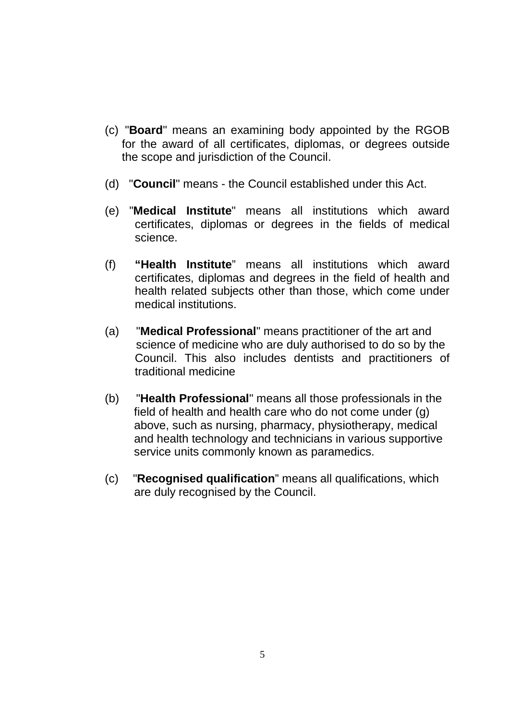- (c) "**Board**" means an examining body appointed by the RGOB for the award of all certificates, diplomas, or degrees outside the scope and jurisdiction of the Council.
- (d) "**Council**" means the Council established under this Act.
- (e) "**Medical Institute**" means all institutions which award certificates, diplomas or degrees in the fields of medical science.
- (f) **"Health Institute**" means all institutions which award certificates, diplomas and degrees in the field of health and health related subjects other than those, which come under medical institutions.
- (a) "**Medical Professional**" means practitioner of the art and science of medicine who are duly authorised to do so by the Council. This also includes dentists and practitioners of traditional medicine
- (b) "**Health Professional**" means all those professionals in the field of health and health care who do not come under (g) above, such as nursing, pharmacy, physiotherapy, medical and health technology and technicians in various supportive service units commonly known as paramedics.
- (c) "**Recognised qualification**" means all qualifications, which are duly recognised by the Council.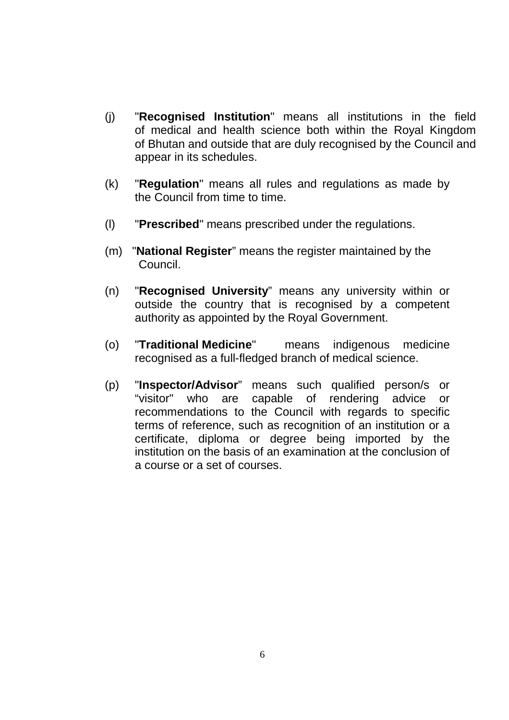- (j) "**Recognised Institution**" means all institutions in the field of medical and health science both within the Royal Kingdom of Bhutan and outside that are duly recognised by the Council and appear in its schedules.
- (k) "**Regulation**" means all rules and regulations as made by the Council from time to time.
- (l) "**Prescribed**" means prescribed under the regulations.
- (m) "**National Register**" means the register maintained by the Council.
- (n) "**Recognised University**" means any university within or outside the country that is recognised by a competent authority as appointed by the Royal Government.
- (o) "**Traditional Medicine**" means indigenous medicine recognised as a full-fledged branch of medical science.
- (p) "**Inspector/Advisor**" means such qualified person/s or "visitor" who are capable of rendering advice or recommendations to the Council with regards to specific terms of reference, such as recognition of an institution or a certificate, diploma or degree being imported by the institution on the basis of an examination at the conclusion of a course or a set of courses.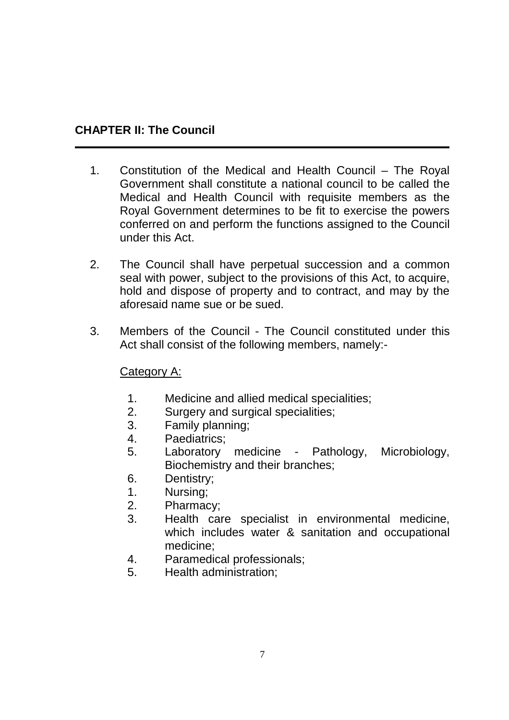# **CHAPTER II: The Council**

- 1. Constitution of the Medical and Health Council The Royal Government shall constitute a national council to be called the Medical and Health Council with requisite members as the Royal Government determines to be fit to exercise the powers conferred on and perform the functions assigned to the Council under this Act.
- 2. The Council shall have perpetual succession and a common seal with power, subject to the provisions of this Act, to acquire, hold and dispose of property and to contract, and may by the aforesaid name sue or be sued.
- 3. Members of the Council The Council constituted under this Act shall consist of the following members, namely:-

## Category A:

- 1. Medicine and allied medical specialities;
- 2. Surgery and surgical specialities;
- 3. Family planning;
- 4. Paediatrics;
- 5. Laboratory medicine Pathology, Microbiology, Biochemistry and their branches;
- 6. Dentistry;
- 1. Nursing;
- 2. Pharmacy;
- 3. Health care specialist in environmental medicine, which includes water & sanitation and occupational medicine;
- 4. Paramedical professionals;
- 5. Health administration;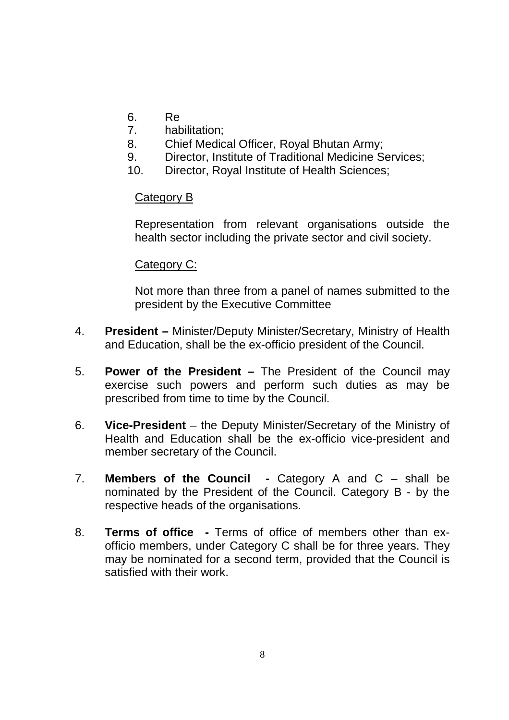- 6. Re
- 7. habilitation;
- 8. Chief Medical Officer, Royal Bhutan Army;
- 9. Director, Institute of Traditional Medicine Services;
- 10. Director, Royal Institute of Health Sciences;

#### Category B

Representation from relevant organisations outside the health sector including the private sector and civil society.

#### Category C:

Not more than three from a panel of names submitted to the president by the Executive Committee

- 4. **President** Minister/Deputy Minister/Secretary, Ministry of Health and Education, shall be the ex-officio president of the Council.
- 5. **Power of the President –** The President of the Council may exercise such powers and perform such duties as may be prescribed from time to time by the Council.
- 6. **Vice-President**  the Deputy Minister/Secretary of the Ministry of Health and Education shall be the ex-officio vice-president and member secretary of the Council.
- 7. **Members of the Council** Category A and C shall be nominated by the President of the Council. Category B - by the respective heads of the organisations.
- 8. **Terms of office** Terms of office of members other than exofficio members, under Category C shall be for three years. They may be nominated for a second term, provided that the Council is satisfied with their work.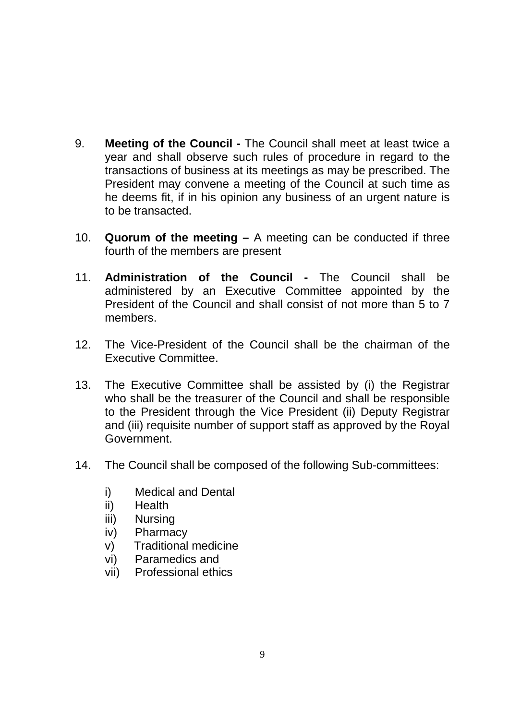- 9. **Meeting of the Council** The Council shall meet at least twice a year and shall observe such rules of procedure in regard to the transactions of business at its meetings as may be prescribed. The President may convene a meeting of the Council at such time as he deems fit, if in his opinion any business of an urgent nature is to be transacted.
- 10. **Quorum of the meeting** A meeting can be conducted if three fourth of the members are present
- 11. **Administration of the Council** The Council shall be administered by an Executive Committee appointed by the President of the Council and shall consist of not more than 5 to 7 members.
- 12. The Vice-President of the Council shall be the chairman of the Executive Committee.
- 13. The Executive Committee shall be assisted by (i) the Registrar who shall be the treasurer of the Council and shall be responsible to the President through the Vice President (ii) Deputy Registrar and (iii) requisite number of support staff as approved by the Royal Government.
- 14. The Council shall be composed of the following Sub-committees:
	- i) Medical and Dental
	- ii) Health
	- iii) Nursing
	- iv) Pharmacy
	- v) Traditional medicine
	- vi) Paramedics and
	- vii) Professional ethics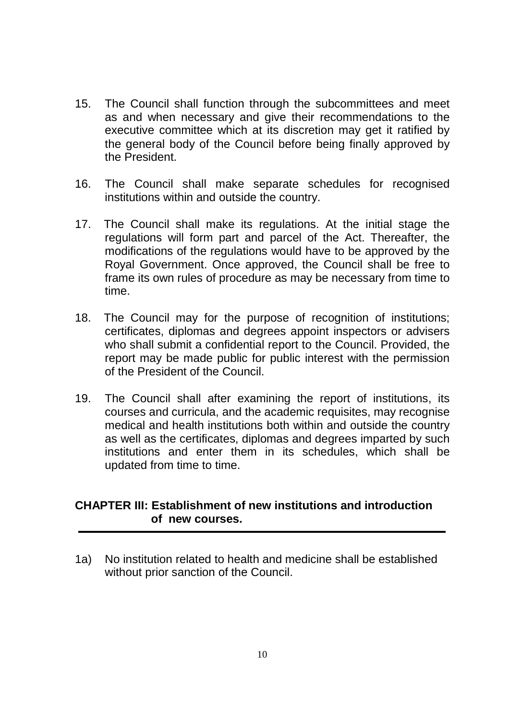- 15. The Council shall function through the subcommittees and meet as and when necessary and give their recommendations to the executive committee which at its discretion may get it ratified by the general body of the Council before being finally approved by the President.
- 16. The Council shall make separate schedules for recognised institutions within and outside the country.
- 17. The Council shall make its regulations. At the initial stage the regulations will form part and parcel of the Act. Thereafter, the modifications of the regulations would have to be approved by the Royal Government. Once approved, the Council shall be free to frame its own rules of procedure as may be necessary from time to time.
- 18. The Council may for the purpose of recognition of institutions; certificates, diplomas and degrees appoint inspectors or advisers who shall submit a confidential report to the Council. Provided, the report may be made public for public interest with the permission of the President of the Council.
- 19. The Council shall after examining the report of institutions, its courses and curricula, and the academic requisites, may recognise medical and health institutions both within and outside the country as well as the certificates, diplomas and degrees imparted by such institutions and enter them in its schedules, which shall be updated from time to time.

#### **CHAPTER III: Establishment of new institutions and introduction of new courses.**

1a) No institution related to health and medicine shall be established without prior sanction of the Council.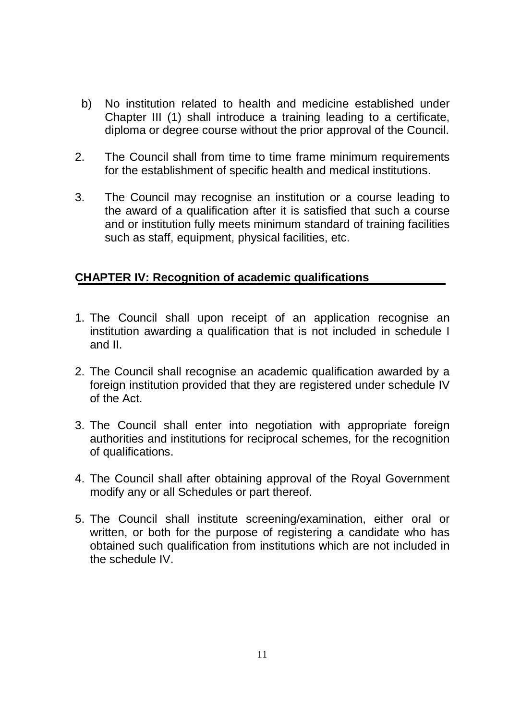- b) No institution related to health and medicine established under Chapter III (1) shall introduce a training leading to a certificate, diploma or degree course without the prior approval of the Council.
- 2. The Council shall from time to time frame minimum requirements for the establishment of specific health and medical institutions.
- 3. The Council may recognise an institution or a course leading to the award of a qualification after it is satisfied that such a course and or institution fully meets minimum standard of training facilities such as staff, equipment, physical facilities, etc.

#### **CHAPTER IV: Recognition of academic qualifications**

- 1. The Council shall upon receipt of an application recognise an institution awarding a qualification that is not included in schedule I and II.
- 2. The Council shall recognise an academic qualification awarded by a foreign institution provided that they are registered under schedule IV of the Act.
- 3. The Council shall enter into negotiation with appropriate foreign authorities and institutions for reciprocal schemes, for the recognition of qualifications.
- 4. The Council shall after obtaining approval of the Royal Government modify any or all Schedules or part thereof.
- 5. The Council shall institute screening/examination, either oral or written, or both for the purpose of registering a candidate who has obtained such qualification from institutions which are not included in the schedule IV.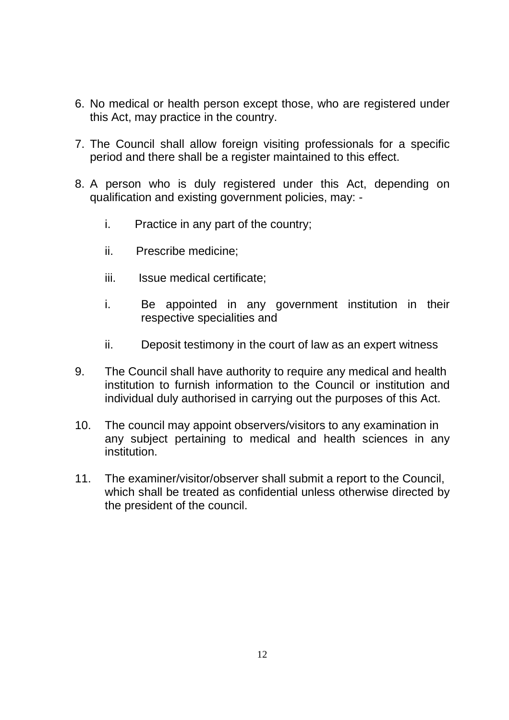- 6. No medical or health person except those, who are registered under this Act, may practice in the country.
- 7. The Council shall allow foreign visiting professionals for a specific period and there shall be a register maintained to this effect.
- 8. A person who is duly registered under this Act, depending on qualification and existing government policies, may:
	- i. Practice in any part of the country;
	- ii. Prescribe medicine;
	- iii. Issue medical certificate:
	- i. Be appointed in any government institution in their respective specialities and
	- ii. Deposit testimony in the court of law as an expert witness
- 9. The Council shall have authority to require any medical and health institution to furnish information to the Council or institution and individual duly authorised in carrying out the purposes of this Act.
- 10. The council may appoint observers/visitors to any examination in any subject pertaining to medical and health sciences in any institution.
- 11. The examiner/visitor/observer shall submit a report to the Council, which shall be treated as confidential unless otherwise directed by the president of the council.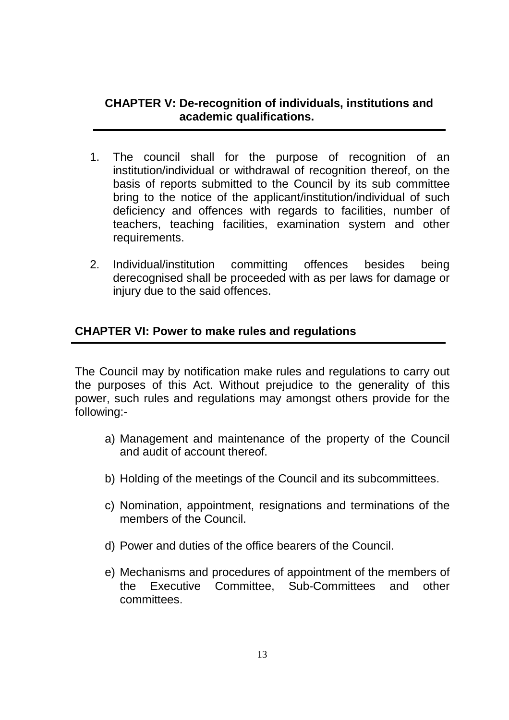#### **CHAPTER V: De-recognition of individuals, institutions and academic qualifications.**

- 1. The council shall for the purpose of recognition of an institution/individual or withdrawal of recognition thereof, on the basis of reports submitted to the Council by its sub committee bring to the notice of the applicant/institution/individual of such deficiency and offences with regards to facilities, number of teachers, teaching facilities, examination system and other requirements.
- 2. Individual/institution committing offences besides being derecognised shall be proceeded with as per laws for damage or injury due to the said offences.

## **CHAPTER VI: Power to make rules and regulations**

The Council may by notification make rules and regulations to carry out the purposes of this Act. Without prejudice to the generality of this power, such rules and regulations may amongst others provide for the following:-

- a) Management and maintenance of the property of the Council and audit of account thereof.
- b) Holding of the meetings of the Council and its subcommittees.
- c) Nomination, appointment, resignations and terminations of the members of the Council.
- d) Power and duties of the office bearers of the Council.
- e) Mechanisms and procedures of appointment of the members of the Executive Committee, Sub-Committees and other committees.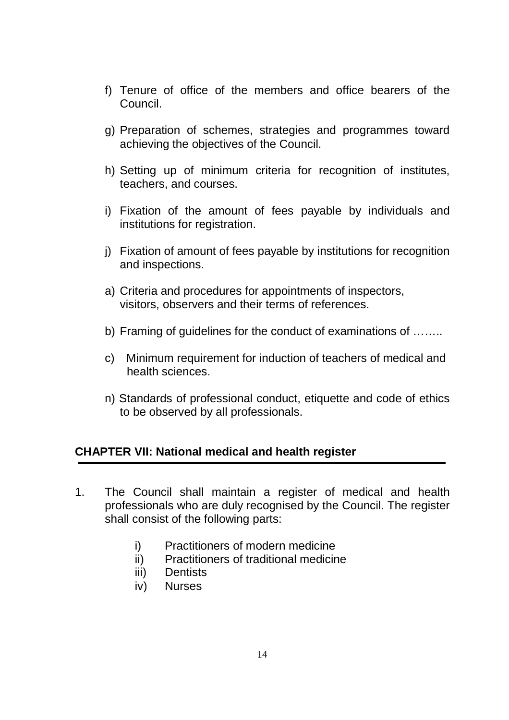- f) Tenure of office of the members and office bearers of the Council.
- g) Preparation of schemes, strategies and programmes toward achieving the objectives of the Council.
- h) Setting up of minimum criteria for recognition of institutes, teachers, and courses.
- i) Fixation of the amount of fees payable by individuals and institutions for registration.
- j) Fixation of amount of fees payable by institutions for recognition and inspections.
- a) Criteria and procedures for appointments of inspectors, visitors, observers and their terms of references.
- b) Framing of guidelines for the conduct of examinations of ……..
- c) Minimum requirement for induction of teachers of medical and health sciences.
- n) Standards of professional conduct, etiquette and code of ethics to be observed by all professionals.

#### **CHAPTER VII: National medical and health register**

- 1. The Council shall maintain a register of medical and health professionals who are duly recognised by the Council. The register shall consist of the following parts:
	- i) Practitioners of modern medicine
	- ii) Practitioners of traditional medicine
	- iii) Dentists
	- iv) Nurses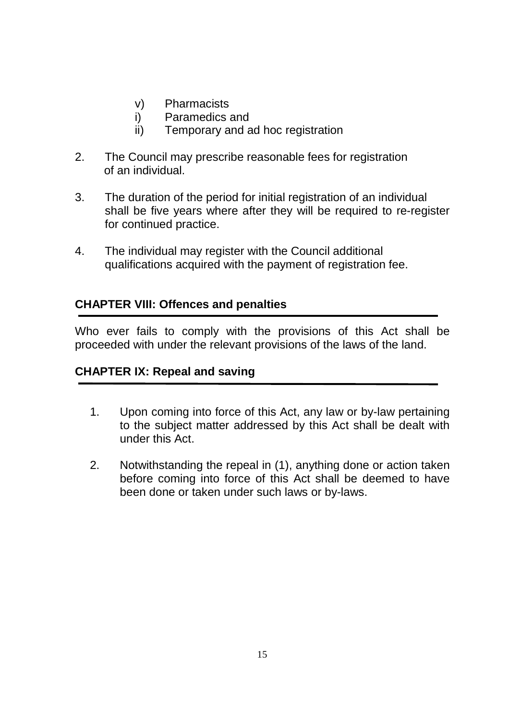- v) Pharmacists
- i) Paramedics and
- ii) Temporary and ad hoc registration
- 2. The Council may prescribe reasonable fees for registration of an individual.
- 3. The duration of the period for initial registration of an individual shall be five years where after they will be required to re-register for continued practice.
- 4. The individual may register with the Council additional qualifications acquired with the payment of registration fee.

# **CHAPTER VIII: Offences and penalties**

Who ever fails to comply with the provisions of this Act shall be proceeded with under the relevant provisions of the laws of the land.

## **CHAPTER IX: Repeal and saving**

- 1. Upon coming into force of this Act, any law or by-law pertaining to the subject matter addressed by this Act shall be dealt with under this Act.
- 2. Notwithstanding the repeal in (1), anything done or action taken before coming into force of this Act shall be deemed to have been done or taken under such laws or by-laws.